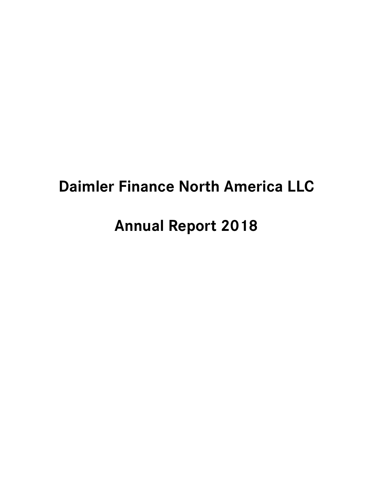# **Daimler Finance North America LLC**

# **Annual Report 2018**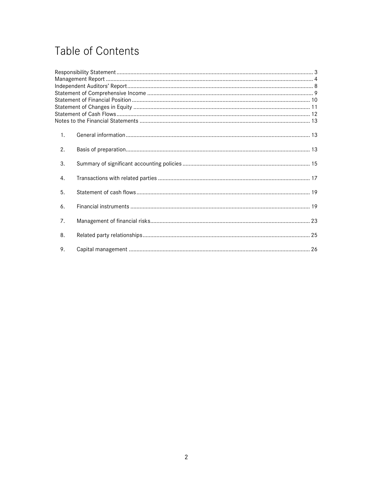## Table of Contents

| $\mathbf{1}$ . |  |  |  |  |  |
|----------------|--|--|--|--|--|
| 2.             |  |  |  |  |  |
| 3.             |  |  |  |  |  |
| 4.             |  |  |  |  |  |
| 5.             |  |  |  |  |  |
| 6.             |  |  |  |  |  |
| 7.             |  |  |  |  |  |
| 8.             |  |  |  |  |  |
| 9.             |  |  |  |  |  |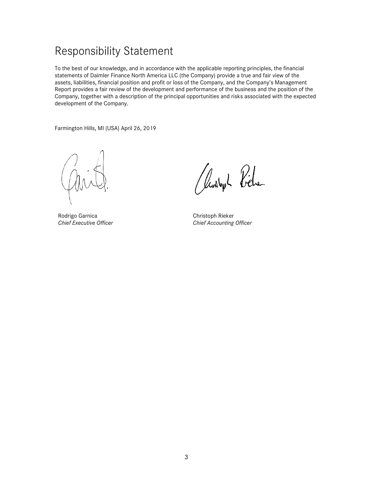## <span id="page-2-0"></span>Responsibility Statement

To the best of our knowledge, and in accordance with the applicable reporting principles, the financial statements of Daimler Finance North America LLC (the Company) provide a true and fair view of the assets, liabilities, financial position and profit or loss of the Company, and the Company's Management Report provides a fair review of the development and performance of the business and the position of the Company, together with a description of the principal opportunities and risks associated with the expected development of the Company.

Farmington Hills, MI (USA) April 26, 2019

Rodrigo Garnica *Chief Executive Officer*

Rendopt Piele

Christoph Rieker *Chief Accounting Officer*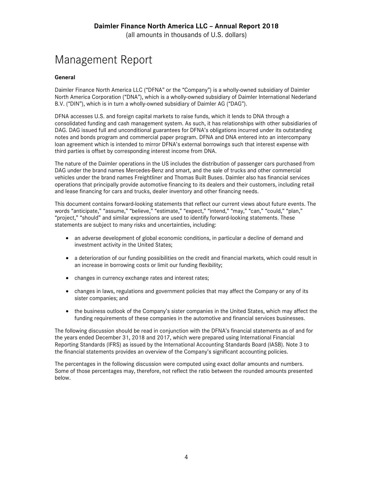(all amounts in thousands of U.S. dollars)

## <span id="page-3-0"></span>Management Report

## **General**

Daimler Finance North America LLC ("DFNA" or the "Company") is a wholly-owned subsidiary of Daimler North America Corporation ("DNA"), which is a wholly-owned subsidiary of Daimler International Nederland B.V. ("DIN"), which is in turn a wholly-owned subsidiary of Daimler AG ("DAG").

DFNA accesses U.S. and foreign capital markets to raise funds, which it lends to DNA through a consolidated funding and cash management system. As such, it has relationships with other subsidiaries of DAG. DAG issued full and unconditional guarantees for DFNA's obligations incurred under its outstanding notes and bonds program and commercial paper program. DFNA and DNA entered into an intercompany loan agreement which is intended to mirror DFNA's external borrowings such that interest expense with third parties is offset by corresponding interest income from DNA.

The nature of the Daimler operations in the US includes the distribution of passenger cars purchased from DAG under the brand names Mercedes-Benz and smart, and the sale of trucks and other commercial vehicles under the brand names Freightliner and Thomas Built Buses. Daimler also has financial services operations that principally provide automotive financing to its dealers and their customers, including retail and lease financing for cars and trucks, dealer inventory and other financing needs.

This document contains forward-looking statements that reflect our current views about future events. The words "anticipate," "assume," "believe," "estimate," "expect," "intend," "may," "can," "could," "plan," "project," "should" and similar expressions are used to identify forward-looking statements. These statements are subject to many risks and uncertainties, including:

- an adverse development of global economic conditions, in particular a decline of demand and investment activity in the United States;
- a deterioration of our funding possibilities on the credit and financial markets, which could result in an increase in borrowing costs or limit our funding flexibility;
- changes in currency exchange rates and interest rates;
- changes in laws, regulations and government policies that may affect the Company or any of its sister companies; and
- the business outlook of the Company's sister companies in the United States, which may affect the funding requirements of these companies in the automotive and financial services businesses.

The following discussion should be read in conjunction with the DFNA's financial statements as of and for the years ended December 31, 2018 and 2017, which were prepared using International Financial Reporting Standards (IFRS) as issued by the International Accounting Standards Board (IASB). Note 3 to the financial statements provides an overview of the Company's significant accounting policies.

The percentages in the following discussion were computed using exact dollar amounts and numbers. Some of those percentages may, therefore, not reflect the ratio between the rounded amounts presented below.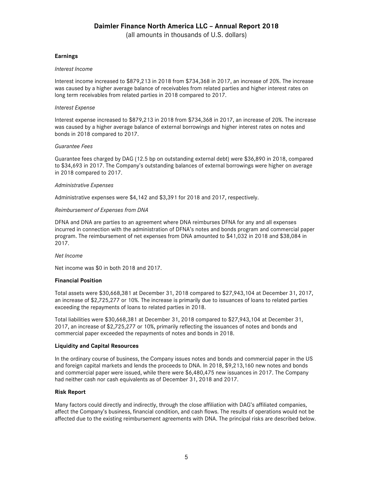(all amounts in thousands of U.S. dollars)

## **Earnings**

#### *Interest Income*

Interest income increased to \$879,213 in 2018 from \$734,368 in 2017, an increase of 20%. The increase was caused by a higher average balance of receivables from related parties and higher interest rates on long term receivables from related parties in 2018 compared to 2017.

#### *Interest Expense*

Interest expense increased to \$879,213 in 2018 from \$734,368 in 2017, an increase of 20%. The increase was caused by a higher average balance of external borrowings and higher interest rates on notes and bonds in 2018 compared to 2017.

#### *Guarantee Fees*

Guarantee fees charged by DAG (12.5 bp on outstanding external debt) were \$36,890 in 2018, compared to \$34,693 in 2017. The Company's outstanding balances of external borrowings were higher on average in 2018 compared to 2017.

#### *Administrative Expenses*

Administrative expenses were \$4,142 and \$3,391 for 2018 and 2017, respectively.

#### *Reimbursement of Expenses from DNA*

DFNA and DNA are parties to an agreement where DNA reimburses DFNA for any and all expenses incurred in connection with the administration of DFNA's notes and bonds program and commercial paper program. The reimbursement of net expenses from DNA amounted to \$41,032 in 2018 and \$38,084 in 2017.

#### *Net Income*

Net income was \$0 in both 2018 and 2017.

#### **Financial Position**

Total assets were \$30,668,381 at December 31, 2018 compared to \$27,943,104 at December 31, 2017, an increase of \$2,725,277 or 10%. The increase is primarily due to issuances of loans to related parties exceeding the repayments of loans to related parties in 2018.

Total liabilities were \$30,668,381 at December 31, 2018 compared to \$27,943,104 at December 31, 2017, an increase of \$2,725,277 or 10%, primarily reflecting the issuances of notes and bonds and commercial paper exceeded the repayments of notes and bonds in 2018.

## **Liquidity and Capital Resources**

In the ordinary course of business, the Company issues notes and bonds and commercial paper in the US and foreign capital markets and lends the proceeds to DNA. In 2018, \$9,213,160 new notes and bonds and commercial paper were issued, while there were \$6,480,475 new issuances in 2017. The Company had neither cash nor cash equivalents as of December 31, 2018 and 2017.

## **Risk Report**

Many factors could directly and indirectly, through the close affiliation with DAG's affiliated companies, affect the Company's business, financial condition, and cash flows. The results of operations would not be affected due to the existing reimbursement agreements with DNA. The principal risks are described below.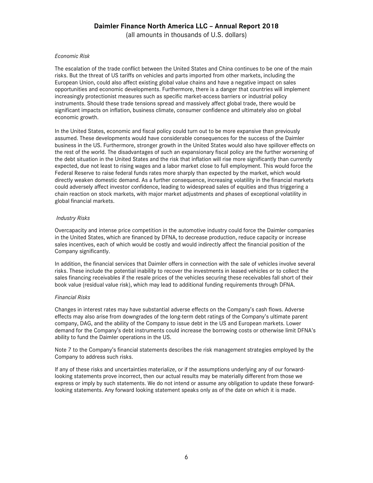(all amounts in thousands of U.S. dollars)

### *Economic Risk*

The escalation of the trade conflict between the United States and China continues to be one of the main risks. But the threat of US tariffs on vehicles and parts imported from other markets, including the European Union, could also affect existing global value chains and have a negative impact on sales opportunities and economic developments. Furthermore, there is a danger that countries will implement increasingly protectionist measures such as specific market-access barriers or industrial policy instruments. Should these trade tensions spread and massively affect global trade, there would be significant impacts on inflation, business climate, consumer confidence and ultimately also on global economic growth.

In the United States, economic and fiscal policy could turn out to be more expansive than previously assumed. These developments would have considerable consequences for the success of the Daimler business in the US. Furthermore, stronger growth in the United States would also have spillover effects on the rest of the world. The disadvantages of such an expansionary fiscal policy are the further worsening of the debt situation in the United States and the risk that inflation will rise more significantly than currently expected, due not least to rising wages and a labor market close to full employment. This would force the Federal Reserve to raise federal funds rates more sharply than expected by the market, which would directly weaken domestic demand. As a further consequence, increasing volatility in the financial markets could adversely affect investor confidence, leading to widespread sales of equities and thus triggering a chain reaction on stock markets, with major market adjustments and phases of exceptional volatility in global financial markets.

#### *Industry Risks*

Overcapacity and intense price competition in the automotive industry could force the Daimler companies in the United States, which are financed by DFNA, to decrease production, reduce capacity or increase sales incentives, each of which would be costly and would indirectly affect the financial position of the Company significantly.

In addition, the financial services that Daimler offers in connection with the sale of vehicles involve several risks. These include the potential inability to recover the investments in leased vehicles or to collect the sales financing receivables if the resale prices of the vehicles securing these receivables fall short of their book value (residual value risk), which may lead to additional funding requirements through DFNA.

#### *Financial Risks*

Changes in interest rates may have substantial adverse effects on the Company's cash flows. Adverse effects may also arise from downgrades of the long-term debt ratings of the Company's ultimate parent company, DAG, and the ability of the Company to issue debt in the US and European markets. Lower demand for the Company's debt instruments could increase the borrowing costs or otherwise limit DFNA's ability to fund the Daimler operations in the US.

Note 7 to the Company's financial statements describes the risk management strategies employed by the Company to address such risks.

If any of these risks and uncertainties materialize, or if the assumptions underlying any of our forwardlooking statements prove incorrect, then our actual results may be materially different from those we express or imply by such statements. We do not intend or assume any obligation to update these forwardlooking statements. Any forward looking statement speaks only as of the date on which it is made.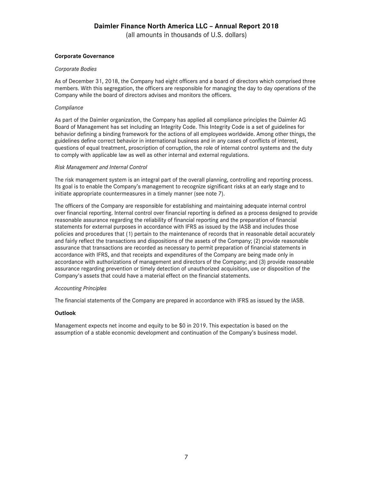(all amounts in thousands of U.S. dollars)

### **Corporate Governance**

#### *Corporate Bodies*

As of December 31, 2018, the Company had eight officers and a board of directors which comprised three members. With this segregation, the officers are responsible for managing the day to day operations of the Company while the board of directors advises and monitors the officers.

#### *Compliance*

As part of the Daimler organization, the Company has applied all compliance principles the Daimler AG Board of Management has set including an Integrity Code. This Integrity Code is a set of guidelines for behavior defining a binding framework for the actions of all employees worldwide. Among other things, the guidelines define correct behavior in international business and in any cases of conflicts of interest, questions of equal treatment, proscription of corruption, the role of internal control systems and the duty to comply with applicable law as well as other internal and external regulations.

#### *Risk Management and Internal Control*

The risk management system is an integral part of the overall planning, controlling and reporting process. Its goal is to enable the Company's management to recognize significant risks at an early stage and to initiate appropriate countermeasures in a timely manner (see note 7).

The officers of the Company are responsible for establishing and maintaining adequate internal control over financial reporting. Internal control over financial reporting is defined as a process designed to provide reasonable assurance regarding the reliability of financial reporting and the preparation of financial statements for external purposes in accordance with IFRS as issued by the IASB and includes those policies and procedures that (1) pertain to the maintenance of records that in reasonable detail accurately and fairly reflect the transactions and dispositions of the assets of the Company; (2) provide reasonable assurance that transactions are recorded as necessary to permit preparation of financial statements in accordance with IFRS, and that receipts and expenditures of the Company are being made only in accordance with authorizations of management and directors of the Company; and (3) provide reasonable assurance regarding prevention or timely detection of unauthorized acquisition, use or disposition of the Company's assets that could have a material effect on the financial statements.

## *Accounting Principles*

The financial statements of the Company are prepared in accordance with IFRS as issued by the IASB.

## **Outlook**

Management expects net income and equity to be \$0 in 2019. This expectation is based on the assumption of a stable economic development and continuation of the Company's business model.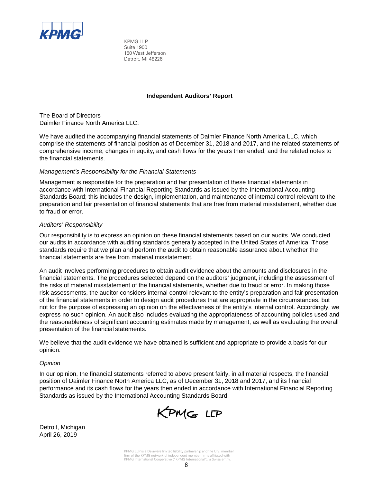

KPMG LLP Suite 1900 150 West Jefferson Detroit, MI 48226

## **Independent Auditors' Report**

The Board of Directors Daimler Finance North America LLC:

We have audited the accompanying financial statements of Daimler Finance North America LLC, which comprise the statements of financial position as of December 31, 2018 and 2017, and the related statements of comprehensive income, changes in equity, and cash flows for the years then ended, and the related notes to the financial statements.

## *Management's Responsibility for the Financial Statements*

Management is responsible for the preparation and fair presentation of these financial statements in accordance with International Financial Reporting Standards as issued by the International Accounting Standards Board; this includes the design, implementation, and maintenance of internal control relevant to the preparation and fair presentation of financial statements that are free from material misstatement, whether due to fraud or error.

## *Auditors' Responsibility*

Our responsibility is to express an opinion on these financial statements based on our audits. We conducted our audits in accordance with auditing standards generally accepted in the United States of America. Those standards require that we plan and perform the audit to obtain reasonable assurance about whether the financial statements are free from material misstatement.

An audit involves performing procedures to obtain audit evidence about the amounts and disclosures in the financial statements. The procedures selected depend on the auditors' judgment, including the assessment of the risks of material misstatement of the financial statements, whether due to fraud or error. In making those risk assessments, the auditor considers internal control relevant to the entity's preparation and fair presentation of the financial statements in order to design audit procedures that are appropriate in the circumstances, but not for the purpose of expressing an opinion on the effectiveness of the entity's internal control. Accordingly, we express no such opinion. An audit also includes evaluating the appropriateness of accounting policies used and the reasonableness of significant accounting estimates made by management, as well as evaluating the overall presentation of the financial statements.

We believe that the audit evidence we have obtained is sufficient and appropriate to provide a basis for our opinion.

## *Opinion*

In our opinion, the financial statements referred to above present fairly, in all material respects, the financial position of Daimler Finance North America LLC, as of December 31, 2018 and 2017, and its financial performance and its cash flows for the years then ended in accordance with International Financial Reporting Standards as issued by the International Accounting Standards Board.



Detroit, Michigan April 26, 2019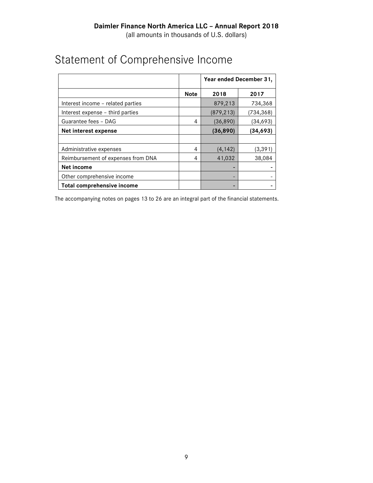|                                    |             | Year ended December 31, |            |
|------------------------------------|-------------|-------------------------|------------|
|                                    | <b>Note</b> | 2018                    | 2017       |
| Interest income - related parties  |             | 879,213                 | 734,368    |
| Interest expense - third parties   |             | (879, 213)              | (734, 368) |
| Guarantee fees - DAG               | 4           | (36,890)                | (34, 693)  |
| Net interest expense               |             | (36, 890)               | (34, 693)  |
|                                    |             |                         |            |
| Administrative expenses            | 4           | (4, 142)                | (3,391)    |
| Reimbursement of expenses from DNA | 4           | 41,032                  | 38,084     |
| Net income                         |             | ۰                       |            |
| Other comprehensive income         |             |                         |            |
| <b>Total comprehensive income</b>  |             |                         |            |

## <span id="page-8-0"></span>Statement of Comprehensive Income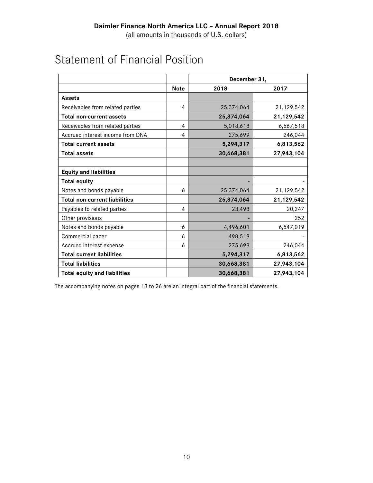<span id="page-9-0"></span>

|                                      |             | December 31, |            |  |
|--------------------------------------|-------------|--------------|------------|--|
|                                      | <b>Note</b> | 2018         | 2017       |  |
| <b>Assets</b>                        |             |              |            |  |
| Receivables from related parties     | 4           | 25,374,064   | 21,129,542 |  |
| <b>Total non-current assets</b>      |             | 25,374,064   | 21,129,542 |  |
| Receivables from related parties     | 4           | 5,018,618    | 6,567,518  |  |
| Accrued interest income from DNA     | 4           | 275,699      | 246,044    |  |
| <b>Total current assets</b>          |             | 5,294,317    | 6,813,562  |  |
| <b>Total assets</b>                  |             | 30,668,381   | 27,943,104 |  |
|                                      |             |              |            |  |
| <b>Equity and liabilities</b>        |             |              |            |  |
| <b>Total equity</b>                  |             |              |            |  |
| Notes and bonds payable              | 6           | 25,374,064   | 21,129,542 |  |
| <b>Total non-current liabilities</b> |             | 25,374,064   | 21,129,542 |  |
| Payables to related parties          | 4           | 23,498       | 20,247     |  |
| Other provisions                     |             |              | 252        |  |
| Notes and bonds payable              | 6           | 4,496,601    | 6,547,019  |  |
| Commercial paper                     | 6           | 498,519      |            |  |
| Accrued interest expense             | 6           | 275,699      | 246,044    |  |
| <b>Total current liabilities</b>     |             | 5,294,317    | 6,813,562  |  |
| <b>Total liabilities</b>             |             | 30,668,381   | 27,943,104 |  |
| <b>Total equity and liabilities</b>  |             | 30,668,381   | 27,943,104 |  |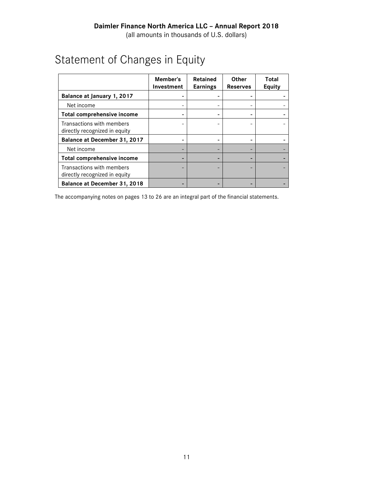## <span id="page-10-0"></span>Statement of Changes in Equity

|                                                            | Member's<br>Investment | Retained<br><b>Earnings</b> | <b>Other</b><br><b>Reserves</b> | Total<br>Equity |
|------------------------------------------------------------|------------------------|-----------------------------|---------------------------------|-----------------|
| Balance at January 1, 2017                                 |                        |                             |                                 |                 |
| Net income                                                 |                        |                             |                                 |                 |
| <b>Total comprehensive income</b>                          |                        |                             |                                 |                 |
| Transactions with members<br>directly recognized in equity |                        |                             |                                 |                 |
| Balance at December 31, 2017                               |                        |                             |                                 |                 |
| Net income                                                 |                        |                             |                                 |                 |
| <b>Total comprehensive income</b>                          |                        |                             |                                 |                 |
| Transactions with members<br>directly recognized in equity |                        |                             |                                 |                 |
| Balance at December 31, 2018                               |                        |                             |                                 |                 |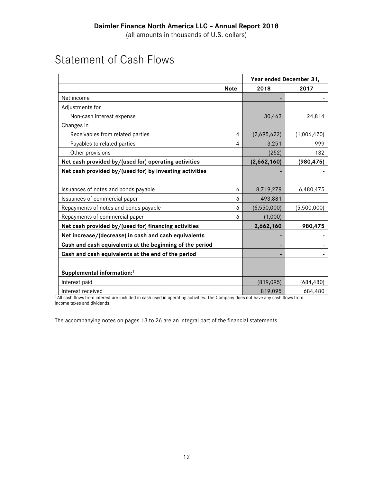## <span id="page-11-0"></span>Statement of Cash Flows

|                                                          |             | Year ended December 31, |             |
|----------------------------------------------------------|-------------|-------------------------|-------------|
|                                                          | <b>Note</b> | 2018                    | 2017        |
| Net income                                               |             |                         |             |
| Adjustments for                                          |             |                         |             |
| Non-cash interest expense                                |             | 30,463                  | 24,814      |
| Changes in                                               |             |                         |             |
| Receivables from related parties                         | 4           | (2,695,622)             | (1,006,420) |
| Payables to related parties                              | 4           | 3,251                   | 999         |
| Other provisions                                         |             | (252)                   | 132         |
| Net cash provided by/(used for) operating activities     |             | (2,662,160)             | (980, 475)  |
| Net cash provided by/(used for) by investing activities  |             |                         |             |
|                                                          |             |                         |             |
| Issuances of notes and bonds payable                     | 6           | 8,719,279               | 6,480,475   |
| Issuances of commercial paper                            | 6           | 493,881                 |             |
| Repayments of notes and bonds payable                    | 6           | (6, 550, 000)           | (5,500,000) |
| Repayments of commercial paper                           | 6           | (1,000)                 |             |
| Net cash provided by/(used for) financing activities     |             | 2,662,160               | 980,475     |
| Net increase/(decrease) in cash and cash equivalents     |             |                         |             |
| Cash and cash equivalents at the beginning of the period |             |                         |             |
| Cash and cash equivalents at the end of the period       |             |                         |             |
|                                                          |             |                         |             |
| Supplemental information: <sup>1</sup>                   |             |                         |             |
| Interest paid                                            |             | (819, 095)              | (684,480)   |
| Interest received                                        |             | 819,095                 | 684,480     |

1 All cash flows from interest are included in cash used in operating activities. The Company does not have any cash flows from income taxes and dividends.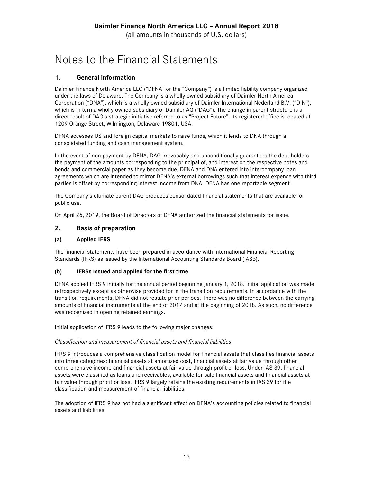## <span id="page-12-0"></span>Notes to the Financial Statements

## <span id="page-12-1"></span>**1. General information**

Daimler Finance North America LLC ("DFNA" or the "Company") is a limited liability company organized under the laws of Delaware. The Company is a wholly-owned subsidiary of Daimler North America Corporation ("DNA"), which is a wholly-owned subsidiary of Daimler International Nederland B.V. ("DIN"), which is in turn a wholly-owned subsidiary of Daimler AG ("DAG"). The change in parent structure is a direct result of DAG's strategic initiative referred to as "Project Future". Its registered office is located at 1209 Orange Street, Wilmington, Delaware 19801, USA.

DFNA accesses US and foreign capital markets to raise funds, which it lends to DNA through a consolidated funding and cash management system.

In the event of non-payment by DFNA, DAG irrevocably and unconditionally guarantees the debt holders the payment of the amounts corresponding to the principal of, and interest on the respective notes and bonds and commercial paper as they become due. DFNA and DNA entered into intercompany loan agreements which are intended to mirror DFNA's external borrowings such that interest expense with third parties is offset by corresponding interest income from DNA. DFNA has one reportable segment.

The Company's ultimate parent DAG produces consolidated financial statements that are available for public use.

On April 26, 2019, the Board of Directors of DFNA authorized the financial statements for issue.

## <span id="page-12-2"></span>**2. Basis of preparation**

## **(a) Applied IFRS**

The financial statements have been prepared in accordance with International Financial Reporting Standards (IFRS) as issued by the International Accounting Standards Board (IASB).

## **(b) IFRSs issued and applied for the first time**

DFNA applied IFRS 9 initially for the annual period beginning January 1, 2018. Initial application was made retrospectively except as otherwise provided for in the transition requirements. In accordance with the transition requirements, DFNA did not restate prior periods. There was no difference between the carrying amounts of financial instruments at the end of 2017 and at the beginning of 2018. As such, no difference was recognized in opening retained earnings.

Initial application of IFRS 9 leads to the following major changes:

## *Classification and measurement of financial assets and financial liabilities*

IFRS 9 introduces a comprehensive classification model for financial assets that classifies financial assets into three categories: financial assets at amortized cost, financial assets at fair value through other comprehensive income and financial assets at fair value through profit or loss. Under IAS 39, financial assets were classified as loans and receivables, available-for-sale financial assets and financial assets at fair value through profit or loss. IFRS 9 largely retains the existing requirements in IAS 39 for the classification and measurement of financial liabilities.

The adoption of IFRS 9 has not had a significant effect on DFNA's accounting policies related to financial assets and liabilities.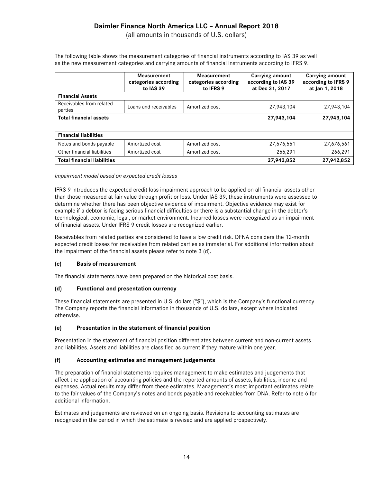(all amounts in thousands of U.S. dollars)

|                                               | <b>Measurement</b><br>categories according<br>to IAS 39 | <b>Measurement</b><br>categories according<br>to IFRS 9 | Carrying amount<br>according to IAS 39<br>at Dec 31, 2017 | <b>Carrying amount</b><br>according to IFRS 9<br>at Jan 1, 2018 |
|-----------------------------------------------|---------------------------------------------------------|---------------------------------------------------------|-----------------------------------------------------------|-----------------------------------------------------------------|
| <b>Financial Assets</b>                       |                                                         |                                                         |                                                           |                                                                 |
| Receivables from related<br>parties           | Loans and receivables                                   | Amortized cost                                          | 27,943,104                                                | 27,943,104                                                      |
| <b>Total financial assets</b>                 |                                                         |                                                         | 27,943,104                                                | 27,943,104                                                      |
|                                               |                                                         |                                                         |                                                           |                                                                 |
| <b>Financial liabilities</b>                  |                                                         |                                                         |                                                           |                                                                 |
| Notes and bonds payable                       | Amortized cost                                          | Amortized cost                                          | 27,676,561                                                | 27,676,561                                                      |
| Other financial liabilities<br>Amortized cost |                                                         | Amortized cost                                          | 266,291                                                   | 266,291                                                         |
| <b>Total financial liabilities</b>            |                                                         |                                                         | 27,942,852                                                | 27,942,852                                                      |

The following table shows the measurement categories of financial instruments according to IAS 39 as well as the new measurement categories and carrying amounts of financial instruments according to IFRS 9.

## *Impairment model based on expected credit losses*

IFRS 9 introduces the expected credit loss impairment approach to be applied on all financial assets other than those measured at fair value through profit or loss. Under IAS 39, these instruments were assessed to determine whether there has been objective evidence of impairment. Objective evidence may exist for example if a debtor is facing serious financial difficulties or there is a substantial change in the debtor's technological, economic, legal, or market environment. Incurred losses were recognized as an impairment of financial assets. Under IFRS 9 credit losses are recognized earlier.

Receivables from related parties are considered to have a low credit risk. DFNA considers the 12-month expected credit losses for receivables from related parties as immaterial. For additional information about the impairment of the financial assets please refer to note 3 (d).

## **(c) Basis of measurement**

The financial statements have been prepared on the historical cost basis.

## **(d) Functional and presentation currency**

These financial statements are presented in U.S. dollars ("\$"), which is the Company's functional currency. The Company reports the financial information in thousands of U.S. dollars, except where indicated otherwise.

## **(e) Presentation in the statement of financial position**

Presentation in the statement of financial position differentiates between current and non-current assets and liabilities. Assets and liabilities are classified as current if they mature within one year.

## **(f) Accounting estimates and management judgements**

The preparation of financial statements requires management to make estimates and judgements that affect the application of accounting policies and the reported amounts of assets, liabilities, income and expenses. Actual results may differ from these estimates. Management's most important estimates relate to the fair values of the Company's notes and bonds payable and receivables from DNA. Refer to note 6 for additional information.

Estimates and judgements are reviewed on an ongoing basis. Revisions to accounting estimates are recognized in the period in which the estimate is revised and are applied prospectively.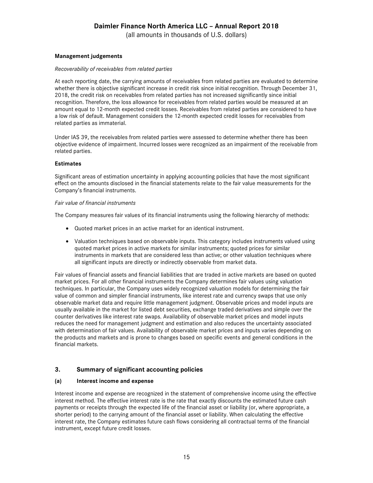(all amounts in thousands of U.S. dollars)

## **Management judgements**

### *Recoverability of receivables from related parties*

At each reporting date, the carrying amounts of receivables from related parties are evaluated to determine whether there is objective significant increase in credit risk since initial recognition. Through December 31, 2018, the credit risk on receivables from related parties has not increased significantly since initial recognition. Therefore, the loss allowance for receivables from related parties would be measured at an amount equal to 12-month expected credit losses. Receivables from related parties are considered to have a low risk of default. Management considers the 12-month expected credit losses for receivables from related parties as immaterial.

Under IAS 39, the receivables from related parties were assessed to determine whether there has been objective evidence of impairment. Incurred losses were recognized as an impairment of the receivable from related parties.

#### **Estimates**

Significant areas of estimation uncertainty in applying accounting policies that have the most significant effect on the amounts disclosed in the financial statements relate to the fair value measurements for the Company's financial instruments.

#### *Fair value of financial instruments*

The Company measures fair values of its financial instruments using the following hierarchy of methods:

- Quoted market prices in an active market for an identical instrument.
- Valuation techniques based on observable inputs. This category includes instruments valued using quoted market prices in active markets for similar instruments; quoted prices for similar instruments in markets that are considered less than active; or other valuation techniques where all significant inputs are directly or indirectly observable from market data.

Fair values of financial assets and financial liabilities that are traded in active markets are based on quoted market prices. For all other financial instruments the Company determines fair values using valuation techniques. In particular, the Company uses widely recognized valuation models for determining the fair value of common and simpler financial instruments, like interest rate and currency swaps that use only observable market data and require little management judgment. Observable prices and model inputs are usually available in the market for listed debt securities, exchange traded derivatives and simple over the counter derivatives like interest rate swaps. Availability of observable market prices and model inputs reduces the need for management judgment and estimation and also reduces the uncertainty associated with determination of fair values. Availability of observable market prices and inputs varies depending on the products and markets and is prone to changes based on specific events and general conditions in the financial markets.

## <span id="page-14-0"></span>**3. Summary of significant accounting policies**

## **(a) Interest income and expense**

Interest income and expense are recognized in the statement of comprehensive income using the effective interest method. The effective interest rate is the rate that exactly discounts the estimated future cash payments or receipts through the expected life of the financial asset or liability (or, where appropriate, a shorter period) to the carrying amount of the financial asset or liability. When calculating the effective interest rate, the Company estimates future cash flows considering all contractual terms of the financial instrument, except future credit losses.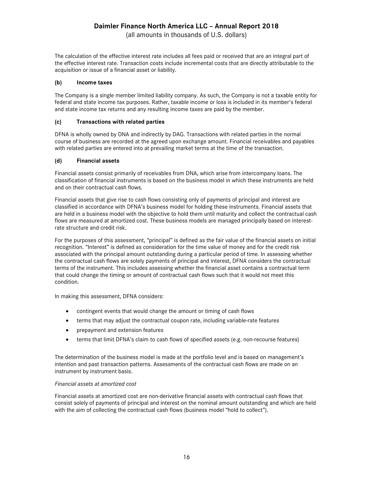(all amounts in thousands of U.S. dollars)

The calculation of the effective interest rate includes all fees paid or received that are an integral part of the effective interest rate. Transaction costs include incremental costs that are directly attributable to the acquisition or issue of a financial asset or liability.

## **(b) Income taxes**

The Company is a single member limited liability company. As such, the Company is not a taxable entity for federal and state income tax purposes. Rather, taxable income or loss is included in its member's federal and state income tax returns and any resulting income taxes are paid by the member.

## **(c) Transactions with related parties**

DFNA is wholly owned by DNA and indirectly by DAG. Transactions with related parties in the normal course of business are recorded at the agreed upon exchange amount. Financial receivables and payables with related parties are entered into at prevailing market terms at the time of the transaction.

## **(d) Financial assets**

Financial assets consist primarily of receivables from DNA, which arise from intercompany loans. The classification of financial instruments is based on the business model in which these instruments are held and on their contractual cash flows.

Financial assets that give rise to cash flows consisting only of payments of principal and interest are classified in accordance with DFNA's business model for holding these instruments. Financial assets that are held in a business model with the objective to hold them until maturity and collect the contractual cash flows are measured at amortized cost. These business models are managed principally based on interestrate structure and credit risk.

For the purposes of this assessment, "principal" is defined as the fair value of the financial assets on initial recognition. "Interest" is defined as consideration for the time value of money and for the credit risk associated with the principal amount outstanding during a particular period of time. In assessing whether the contractual cash flows are solely payments of principal and interest, DFNA considers the contractual terms of the instrument. This includes assessing whether the financial asset contains a contractual term that could change the timing or amount of contractual cash flows such that it would not meet this condition.

In making this assessment, DFNA considers:

- contingent events that would change the amount or timing of cash flows
- terms that may adjust the contractual coupon rate, including variable-rate features
- prepayment and extension features
- terms that limit DFNA's claim to cash flows of specified assets (e.g. non-recourse features)

The determination of the business model is made at the portfolio level and is based on management's intention and past transaction patterns. Assessments of the contractual cash flows are made on an instrument by instrument basis.

## *Financial assets at amortized cost*

Financial assets at amortized cost are non-derivative financial assets with contractual cash flows that consist solely of payments of principal and interest on the nominal amount outstanding and which are held with the aim of collecting the contractual cash flows (business model "hold to collect").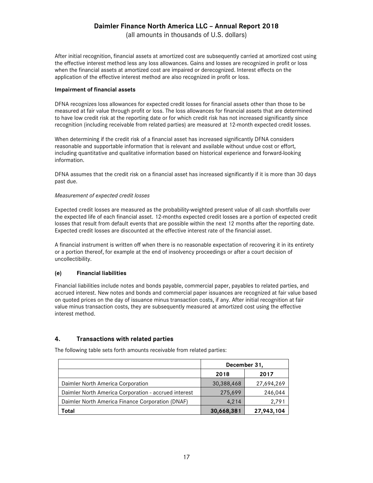(all amounts in thousands of U.S. dollars)

After initial recognition, financial assets at amortized cost are subsequently carried at amortized cost using the effective interest method less any loss allowances. Gains and losses are recognized in profit or loss when the financial assets at amortized cost are impaired or derecognized. Interest effects on the application of the effective interest method are also recognized in profit or loss.

### **Impairment of financial assets**

DFNA recognizes loss allowances for expected credit losses for financial assets other than those to be measured at fair value through profit or loss. The loss allowances for financial assets that are determined to have low credit risk at the reporting date or for which credit risk has not increased significantly since recognition (including receivable from related parties) are measured at 12-month expected credit losses.

When determining if the credit risk of a financial asset has increased significantly DFNA considers reasonable and supportable information that is relevant and available without undue cost or effort, including quantitative and qualitative information based on historical experience and forward-looking information.

DFNA assumes that the credit risk on a financial asset has increased significantly if it is more than 30 days past due.

#### *Measurement of expected credit losses*

Expected credit losses are measured as the probability-weighted present value of all cash shortfalls over the expected life of each financial asset. 12-months expected credit losses are a portion of expected credit losses that result from default events that are possible within the next 12 months after the reporting date. Expected credit losses are discounted at the effective interest rate of the financial asset.

A financial instrument is written off when there is no reasonable expectation of recovering it in its entirety or a portion thereof, for example at the end of insolvency proceedings or after a court decision of uncollectibility.

## **(e) Financial liabilities**

Financial liabilities include notes and bonds payable, commercial paper, payables to related parties, and accrued interest. New notes and bonds and commercial paper issuances are recognized at fair value based on quoted prices on the day of issuance minus transaction costs, if any. After initial recognition at fair value minus transaction costs, they are subsequently measured at amortized cost using the effective interest method.

## <span id="page-16-0"></span>**4. Transactions with related parties**

|                                                      | December 31,             |            |
|------------------------------------------------------|--------------------------|------------|
|                                                      | 2018                     | 2017       |
| Daimler North America Corporation                    | 30,388,468               | 27,694,269 |
| Daimler North America Corporation - accrued interest | 275,699                  | 246,044    |
| Daimler North America Finance Corporation (DNAF)     | 4,214                    | 2,791      |
| Total                                                | 30,668,381<br>27,943,104 |            |

The following table sets forth amounts receivable from related parties: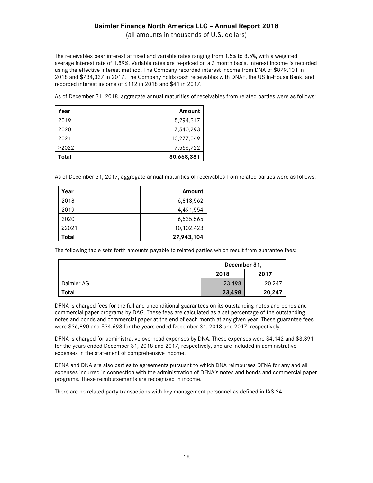(all amounts in thousands of U.S. dollars)

The receivables bear interest at fixed and variable rates ranging from 1.5% to 8.5%, with a weighted average interest rate of 1.89%. Variable rates are re-priced on a 3 month basis. Interest income is recorded using the effective interest method. The Company recorded interest income from DNA of \$879,101 in 2018 and \$734,327 in 2017. The Company holds cash receivables with DNAF, the US In-House Bank, and recorded interest income of \$112 in 2018 and \$41 in 2017.

As of December 31, 2018, aggregate annual maturities of receivables from related parties were as follows:

| Year        | Amount     |
|-------------|------------|
| 2019        | 5,294,317  |
| 2020        | 7,540,293  |
| 2021        | 10,277,049 |
| $\geq 2022$ | 7,556,722  |
| Total       | 30,668,381 |

As of December 31, 2017, aggregate annual maturities of receivables from related parties were as follows:

| Year        | Amount     |
|-------------|------------|
| 2018        | 6,813,562  |
| 2019        | 4,491,554  |
| 2020        | 6,535,565  |
| $\geq 2021$ | 10,102,423 |
| Total       | 27,943,104 |

The following table sets forth amounts payable to related parties which result from guarantee fees:

|            | December 31, |        |
|------------|--------------|--------|
|            | 2018<br>2017 |        |
| Daimler AG | 23,498       | 20,247 |
| Total      | 23,498       | 20,247 |

DFNA is charged fees for the full and unconditional guarantees on its outstanding notes and bonds and commercial paper programs by DAG. These fees are calculated as a set percentage of the outstanding notes and bonds and commercial paper at the end of each month at any given year. These guarantee fees were \$36,890 and \$34,693 for the years ended December 31, 2018 and 2017, respectively.

DFNA is charged for administrative overhead expenses by DNA. These expenses were \$4,142 and \$3,391 for the years ended December 31, 2018 and 2017, respectively, and are included in administrative expenses in the statement of comprehensive income.

DFNA and DNA are also parties to agreements pursuant to which DNA reimburses DFNA for any and all expenses incurred in connection with the administration of DFNA's notes and bonds and commercial paper programs. These reimbursements are recognized in income.

There are no related party transactions with key management personnel as defined in IAS 24.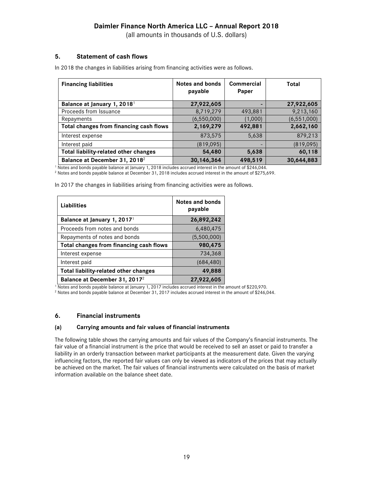(all amounts in thousands of U.S. dollars)

## <span id="page-18-0"></span>**5. Statement of cash flows**

In 2018 the changes in liabilities arising from financing activities were as follows.

| <b>Financing liabilities</b>                 | Notes and bonds<br>payable | Commercial<br>Paper | <b>Total</b>  |
|----------------------------------------------|----------------------------|---------------------|---------------|
| Balance at January 1, 2018 <sup>1</sup>      | 27,922,605                 |                     | 27,922,605    |
| Proceeds from Issuance                       | 8,719,279                  | 493,881             | 9,213,160     |
| Repayments                                   | (6, 550, 000)              | 1,000               | (6, 551, 000) |
| Total changes from financing cash flows      | 2,169,279                  | 492,881             | 2,662,160     |
| Interest expense                             | 873,575                    | 5,638               | 879,213       |
| Interest paid                                | (819, 095)                 |                     | (819,095)     |
| <b>Total liability-related other changes</b> | 54,480                     | 5,638               | 60,118        |
| Balance at December 31, 2018 <sup>2</sup>    | 30, 146, 364               | 498,519             | 30,644,883    |

<sup>1</sup> Notes and bonds payable balance at January 1, 2018 includes accrued interest in the amount of \$246,044. 2 Notes and bonds payable balance at December 31, 2018 includes accrued interest in the amount of \$275,699.

In 2017 the changes in liabilities arising from financing activities were as follows.

| Liabilities                               | <b>Notes and bonds</b><br>payable |
|-------------------------------------------|-----------------------------------|
| Balance at January 1, 2017 <sup>1</sup>   | 26,892,242                        |
| Proceeds from notes and bonds             | 6,480,475                         |
| Repayments of notes and bonds             | (5,500,000)                       |
| Total changes from financing cash flows   | 980,475                           |
| Interest expense                          | 734,368                           |
| Interest paid                             | (684, 480)                        |
| Total liability-related other changes     | 49,888                            |
| Balance at December 31, 2017 <sup>2</sup> | 27,922,605                        |

<sup>1</sup> Notes and bonds payable balance at January 1, 2017 includes accrued interest in the amount of \$220,970.<br><sup>2</sup> Notes and bonds payable balance at December 31, 2017 includes accrued interest in the amount of \$246,044.

## <span id="page-18-1"></span>**6. Financial instruments**

## **(a) Carrying amounts and fair values of financial instruments**

The following table shows the carrying amounts and fair values of the Company's financial instruments. The fair value of a financial instrument is the price that would be received to sell an asset or paid to transfer a liability in an orderly transaction between market participants at the measurement date. Given the varying influencing factors, the reported fair values can only be viewed as indicators of the prices that may actually be achieved on the market. The fair values of financial instruments were calculated on the basis of market information available on the balance sheet date.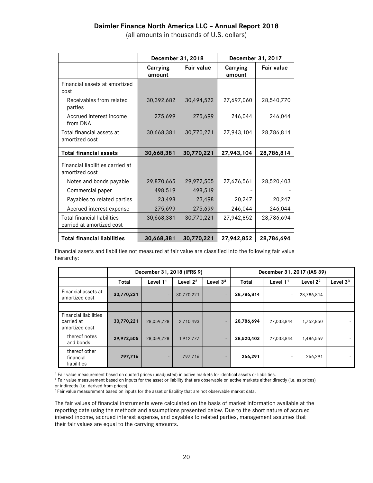(all amounts in thousands of U.S. dollars)

|                                                                 | December 31, 2018         |                   |                    | December 31, 2017 |  |
|-----------------------------------------------------------------|---------------------------|-------------------|--------------------|-------------------|--|
|                                                                 | <b>Carrying</b><br>amount | <b>Fair value</b> | Carrying<br>amount | <b>Fair value</b> |  |
| Financial assets at amortized<br>cost                           |                           |                   |                    |                   |  |
| Receivables from related<br>parties                             | 30,392,682                | 30,494,522        | 27,697,060         | 28,540,770        |  |
| Accrued interest income<br>from DNA                             | 275,699                   | 275,699           | 246,044            | 246,044           |  |
| Total financial assets at<br>amortized cost                     | 30,668,381                | 30,770,221        | 27,943,104         | 28,786,814        |  |
| <b>Total financial assets</b>                                   | 30,668,381                | 30,770,221        | 27,943,104         | 28,786,814        |  |
| Financial liabilities carried at<br>amortized cost              |                           |                   |                    |                   |  |
| Notes and bonds payable                                         | 29,870,665                | 29,972,505        | 27,676,561         | 28,520,403        |  |
| Commercial paper                                                | 498,519                   | 498,519           |                    |                   |  |
| Payables to related parties                                     | 23,498                    | 23,498            | 20,247             | 20,247            |  |
| Accrued interest expense                                        | 275,699                   | 275,699           | 246,044            | 246,044           |  |
| <b>Total financial liabilities</b><br>carried at amortized cost | 30,668,381                | 30,770,221        | 27,942,852         | 28,786,694        |  |
| <b>Total financial liabilities</b>                              | 30,668,381                | 30,770,221        | 27,942,852         | 28,786,694        |  |

Financial assets and liabilities not measured at fair value are classified into the following fair value hierarchy:

|                                                              | December 31, 2018 (IFRS 9) |                          |            |            | December 31, 2017 (IAS 39) |            |            |            |
|--------------------------------------------------------------|----------------------------|--------------------------|------------|------------|----------------------------|------------|------------|------------|
|                                                              | <b>Total</b>               | Level $11$               | Level $22$ | Level $33$ | <b>Total</b>               | Level $11$ | Level $22$ | Level $33$ |
| Financial assets at<br>amortized cost                        | 30,770,221                 |                          | 30,770,221 | -          | 28,786,814                 |            | 28,786,814 |            |
|                                                              |                            |                          |            |            |                            |            |            |            |
| <b>Financial liabilities</b><br>carried at<br>amortized cost | 30,770,221                 | 28,059,728               | 2,710,493  | -          | 28,786,694                 | 27,033,844 | 1,752,850  |            |
| thereof notes<br>and bonds                                   | 29,972,505                 | 28,059,728               | 1,912,777  | -          | 28,520,403                 | 27,033,844 | 1,486,559  |            |
| thereof other<br>financial<br>liabilities                    | 797,716                    | $\overline{\phantom{0}}$ | 797,716    | -          | 266,291                    |            | 266,291    |            |

<sup>1</sup> Fair value measurement based on quoted prices (unadjusted) in active markets for identical assets or liabilities.

<sup>2</sup> Fair value measurement based on inputs for the asset or liability that are observable on active markets either directly (i.e. as prices) or indirectly (i.e. derived from prices).

<sup>3</sup> Fair value measurement based on inputs for the asset or liability that are not observable market data.

The fair values of financial instruments were calculated on the basis of market information available at the reporting date using the methods and assumptions presented below. Due to the short nature of accrued interest income, accrued interest expense, and payables to related parties, management assumes that their fair values are equal to the carrying amounts.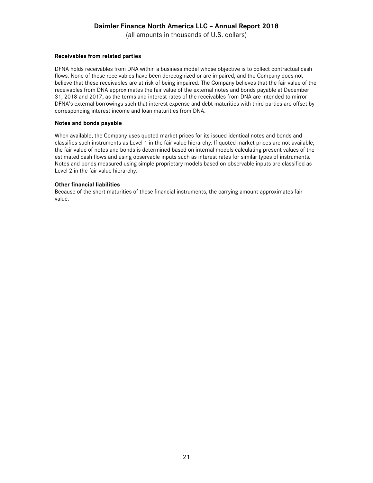(all amounts in thousands of U.S. dollars)

#### **Receivables from related parties**

DFNA holds receivables from DNA within a business model whose objective is to collect contractual cash flows. None of these receivables have been derecognized or are impaired, and the Company does not believe that these receivables are at risk of being impaired. The Company believes that the fair value of the receivables from DNA approximates the fair value of the external notes and bonds payable at December 31, 2018 and 2017, as the terms and interest rates of the receivables from DNA are intended to mirror DFNA's external borrowings such that interest expense and debt maturities with third parties are offset by corresponding interest income and loan maturities from DNA.

### **Notes and bonds payable**

When available, the Company uses quoted market prices for its issued identical notes and bonds and classifies such instruments as Level 1 in the fair value hierarchy. If quoted market prices are not available, the fair value of notes and bonds is determined based on internal models calculating present values of the estimated cash flows and using observable inputs such as interest rates for similar types of instruments. Notes and bonds measured using simple proprietary models based on observable inputs are classified as Level 2 in the fair value hierarchy.

## **Other financial liabilities**

Because of the short maturities of these financial instruments, the carrying amount approximates fair value.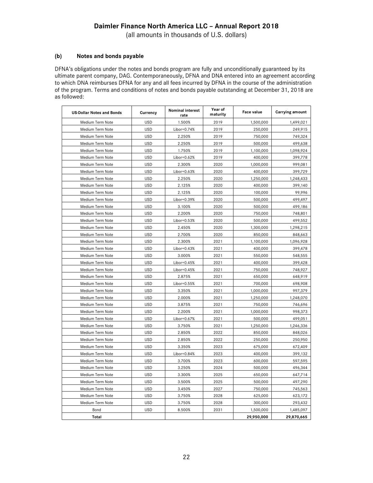(all amounts in thousands of U.S. dollars)

## **(b) Notes and bonds payable**

DFNA's obligations under the notes and bonds program are fully and unconditionally guaranteed by its ultimate parent company, DAG. Contemporaneously, DFNA and DNA entered into an agreement according to which DNA reimburses DFNA for any and all fees incurred by DFNA in the course of the administration of the program. Terms and conditions of notes and bonds payable outstanding at December 31, 2018 are as followed:

| <b>US-Dollar Notes and Bonds</b> | Currency   | Nominal interest<br>rate | Year of<br>maturity | Face value | <b>Carrying amount</b> |
|----------------------------------|------------|--------------------------|---------------------|------------|------------------------|
| Medium Term Note                 | <b>USD</b> | 1.500%                   | 2019                | 1,500,000  | 1,499,021              |
| Medium Term Note                 | <b>USD</b> | Libor+0.74%              | 2019                | 250,000    | 249,915                |
| Medium Term Note                 | <b>USD</b> | 2.250%                   | 2019                | 750,000    | 749,324                |
| Medium Term Note                 | <b>USD</b> | 2.250%                   | 2019                | 500,000    | 499,638                |
| Medium Term Note                 | <b>USD</b> | 1.750%                   | 2019                | 1,100,000  | 1,098,924              |
| Medium Term Note                 | <b>USD</b> | Libor+0.62%              | 2019                | 400,000    | 399,778                |
| Medium Term Note                 | <b>USD</b> | 2.300%                   | 2020                | 1,000,000  | 999,081                |
| Medium Term Note                 | <b>USD</b> | Libor+0.63%              | 2020                | 400,000    | 399,729                |
| Medium Term Note                 | <b>USD</b> | 2.250%                   | 2020                | 1,250,000  | 1,248,433              |
| Medium Term Note                 | <b>USD</b> | 2.125%                   | 2020                | 400,000    | 399,140                |
| Medium Term Note                 | <b>USD</b> | 2.125%                   | 2020                | 100,000    | 99,996                 |
| Medium Term Note                 | <b>USD</b> | Libor+0.39%              | 2020                | 500,000    | 499,497                |
| Medium Term Note                 | <b>USD</b> | 3.100%                   | 2020                | 500,000    | 499,186                |
| Medium Term Note                 | <b>USD</b> | 2.200%                   | 2020                | 750,000    | 748,801                |
| Medium Term Note                 | <b>USD</b> | Libor+0.53%              | 2020                | 500,000    | 499,552                |
| Medium Term Note                 | <b>USD</b> | 2.450%                   | 2020                | 1,300,000  | 1,298,215              |
| Medium Term Note                 | <b>USD</b> | 2.700%                   | 2020                | 850,000    | 848,663                |
| Medium Term Note                 | <b>USD</b> | 2.300%                   | 2021                | 1,100,000  | 1,096,928              |
| Medium Term Note                 | <b>USD</b> | Libor+0.43%              | 2021                | 400,000    | 399,478                |
| Medium Term Note                 | <b>USD</b> | 3.000%                   | 2021                | 550,000    | 548,555                |
| Medium Term Note                 | <b>USD</b> | Libor+0.45%              | 2021                | 400,000    | 399,428                |
| Medium Term Note                 | <b>USD</b> | Libor+0.45%              | 2021                | 750,000    | 748,927                |
| Medium Term Note                 | <b>USD</b> | 2.875%                   | 2021                | 650,000    | 648,919                |
| Medium Term Note                 | <b>USD</b> | Libor+0.55%              | 2021                | 700,000    | 698,908                |
| Medium Term Note                 | <b>USD</b> | 3.350%                   | 2021                | 1,000,000  | 997,379                |
| Medium Term Note                 | <b>USD</b> | 2.000%                   | 2021                | 1,250,000  | 1,248,070              |
| Medium Term Note                 | <b>USD</b> | 3.875%                   | 2021                | 750,000    | 746,696                |
| Medium Term Note                 | <b>USD</b> | 2.200%                   | 2021                | 1,000,000  | 998,373                |
| Medium Term Note                 | <b>USD</b> | Libor+0.67%              | 2021                | 500,000    | 499,051                |
| Medium Term Note                 | <b>USD</b> | 3.750%                   | 2021                | 1,250,000  | 1,246,336              |
| Medium Term Note                 | <b>USD</b> | 2.850%                   | 2022                | 850,000    | 848,026                |
| Medium Term Note                 | <b>USD</b> | 2.850%                   | 2022                | 250,000    | 250,950                |
| Medium Term Note                 | <b>USD</b> | 3.350%                   | 2023                | 675,000    | 672,409                |
| Medium Term Note                 | <b>USD</b> | Libor+0.84%              | 2023                | 400,000    | 399,132                |
| Medium Term Note                 | <b>USD</b> | 3.700%                   | 2023                | 600,000    | 597,595                |
| Medium Term Note                 | <b>USD</b> | 3.250%                   | 2024                | 500,000    | 496,344                |
| Medium Term Note                 | <b>USD</b> | 3.300%                   | 2025                | 650,000    | 647,714                |
| Medium Term Note                 | <b>USD</b> | 3.500%                   | 2025                | 500,000    | 497,290                |
| Medium Term Note                 | <b>USD</b> | 3.450%                   | 2027                | 750,000    | 745,563                |
| Medium Term Note                 | <b>USD</b> | 3.750%                   | 2028                | 625,000    | 623,172                |
| Medium Term Note                 | <b>USD</b> | 3.750%                   | 2028                | 300,000    | 293,432                |
| Bond                             | <b>USD</b> | 8.500%                   | 2031                | 1,500,000  | 1,485,097              |
| Total                            |            |                          |                     | 29,950,000 | 29,870,665             |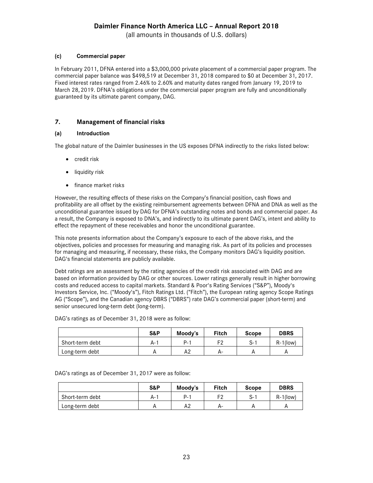(all amounts in thousands of U.S. dollars)

## **(c) Commercial paper**

In February 2011, DFNA entered into a \$3,000,000 private placement of a commercial paper program. The commercial paper balance was \$498,519 at December 31, 2018 compared to \$0 at December 31, 2017. Fixed interest rates ranged from 2.46% to 2.60% and maturity dates ranged from January 19, 2019 to March 28, 2019. DFNA's obligations under the commercial paper program are fully and unconditionally guaranteed by its ultimate parent company, DAG.

## <span id="page-22-0"></span>**7. Management of financial risks**

## **(a) Introduction**

The global nature of the Daimler businesses in the US exposes DFNA indirectly to the risks listed below:

- credit risk
- liquidity risk
- finance market risks

However, the resulting effects of these risks on the Company's financial position, cash flows and profitability are all offset by the existing reimbursement agreements between DFNA and DNA as well as the unconditional guarantee issued by DAG for DFNA's outstanding notes and bonds and commercial paper. As a result, the Company is exposed to DNA's, and indirectly to its ultimate parent DAG's, intent and ability to effect the repayment of these receivables and honor the unconditional guarantee.

This note presents information about the Company's exposure to each of the above risks, and the objectives, policies and processes for measuring and managing risk. As part of its policies and processes for managing and measuring, if necessary, these risks, the Company monitors DAG's liquidity position. DAG's financial statements are publicly available.

Debt ratings are an assessment by the rating agencies of the credit risk associated with DAG and are based on information provided by DAG or other sources. Lower ratings generally result in higher borrowing costs and reduced access to capital markets. Standard & Poor's Rating Services ("S&P"), Moody's Investors Service, Inc. ("Moody's"), Fitch Ratings Ltd. ("Fitch"), the European rating agency Scope Ratings AG ("Scope"), and the Canadian agency DBRS ("DBRS") rate DAG's commercial paper (short-term) and senior unsecured long-term debt (long-term).

DAG's ratings as of December 31, 2018 were as follow:

|                 | S&P | Moody's | <b>Fitch</b> | <b>Scope</b> | <b>DBRS</b> |
|-----------------|-----|---------|--------------|--------------|-------------|
| Short-term debt | A-  | P-1     | Fク           | -0           | $R-1$ (low) |
| Long-term debt  |     | A2      | A-           |              |             |

DAG's ratings as of December 31, 2017 were as follow:

|                 | S&P | Moody's | Fitch | <b>Scope</b> | <b>DBRS</b> |
|-----------------|-----|---------|-------|--------------|-------------|
| Short-term debt | A-` | P-1     | F2    | S-1          | $R-1$ (low) |
| Long-term debt  |     | A2      | Α-    |              |             |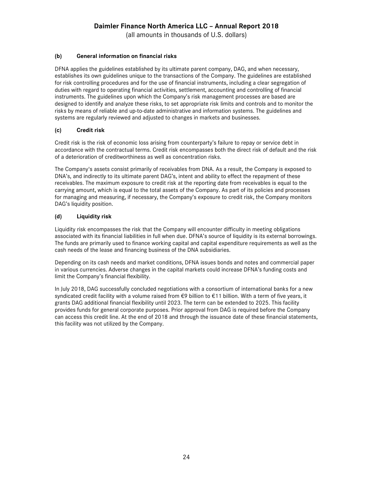(all amounts in thousands of U.S. dollars)

## **(b) General information on financial risks**

DFNA applies the guidelines established by its ultimate parent company, DAG, and when necessary, establishes its own guidelines unique to the transactions of the Company. The guidelines are established for risk controlling procedures and for the use of financial instruments, including a clear segregation of duties with regard to operating financial activities, settlement, accounting and controlling of financial instruments. The guidelines upon which the Company's risk management processes are based are designed to identify and analyze these risks, to set appropriate risk limits and controls and to monitor the risks by means of reliable and up-to-date administrative and information systems. The guidelines and systems are regularly reviewed and adjusted to changes in markets and businesses.

## **(c) Credit risk**

Credit risk is the risk of economic loss arising from counterparty's failure to repay or service debt in accordance with the contractual terms. Credit risk encompasses both the direct risk of default and the risk of a deterioration of creditworthiness as well as concentration risks.

The Company's assets consist primarily of receivables from DNA. As a result, the Company is exposed to DNA's, and indirectly to its ultimate parent DAG's, intent and ability to effect the repayment of these receivables. The maximum exposure to credit risk at the reporting date from receivables is equal to the carrying amount, which is equal to the total assets of the Company. As part of its policies and processes for managing and measuring, if necessary, the Company's exposure to credit risk, the Company monitors DAG's liquidity position.

## **(d) Liquidity risk**

Liquidity risk encompasses the risk that the Company will encounter difficulty in meeting obligations associated with its financial liabilities in full when due. DFNA's source of liquidity is its external borrowings. The funds are primarily used to finance working capital and capital expenditure requirements as well as the cash needs of the lease and financing business of the DNA subsidiaries.

Depending on its cash needs and market conditions, DFNA issues bonds and notes and commercial paper in various currencies. Adverse changes in the capital markets could increase DFNA's funding costs and limit the Company's financial flexibility.

In July 2018, DAG successfully concluded negotiations with a consortium of international banks for a new syndicated credit facility with a volume raised from €9 billion to €11 billion. With a term of five years, it grants DAG additional financial flexibility until 2023. The term can be extended to 2025. This facility provides funds for general corporate purposes. Prior approval from DAG is required before the Company can access this credit line. At the end of 2018 and through the issuance date of these financial statements, this facility was not utilized by the Company.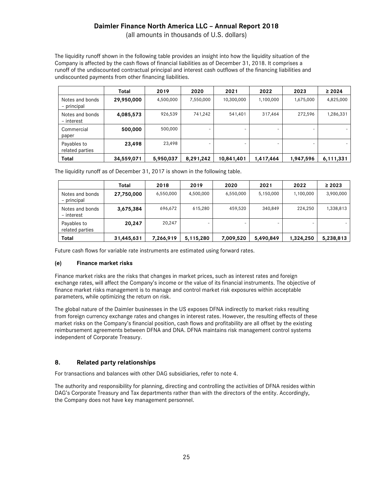(all amounts in thousands of U.S. dollars)

The liquidity runoff shown in the following table provides an insight into how the liquidity situation of the Company is affected by the cash flows of financial liabilities as of December 31, 2018. It comprises a runoff of the undiscounted contractual principal and interest cash outflows of the financing liabilities and undiscounted payments from other financing liabilities.

|                                | Total      | 2019      | 2020      | 2021       | 2022      | 2023      | $\geq 2024$ |
|--------------------------------|------------|-----------|-----------|------------|-----------|-----------|-------------|
| Notes and bonds<br>- principal | 29,950,000 | 4,500,000 | 7,550,000 | 10,300,000 | 1,100,000 | 1,675,000 | 4,825,000   |
| Notes and bonds<br>- interest  | 4,085,573  | 926,539   | 741,242   | 541,401    | 317,464   | 272,596   | 1,286,331   |
| Commercial<br>paper            | 500,000    | 500,000   |           |            |           |           |             |
| Payables to<br>related parties | 23,498     | 23,498    |           |            |           |           |             |
| <b>Total</b>                   | 34,559,071 | 5,950,037 | 8,291,242 | 10,841,401 | 1,417,464 | 1,947,596 | 6,111,331   |

The liquidity runoff as of December 31, 2017 is shown in the following table.

|                                | Total      | 2018      | 2019      | 2020      | 2021      | 2022      | $\geq 2023$ |
|--------------------------------|------------|-----------|-----------|-----------|-----------|-----------|-------------|
| Notes and bonds<br>- principal | 27,750,000 | 6,550,000 | 4,500,000 | 6,550,000 | 5,150,000 | 1,100,000 | 3,900,000   |
| Notes and bonds<br>- interest  | 3,675,384  | 696,672   | 615,280   | 459,520   | 340,849   | 224,250   | 1,338,813   |
| Payables to<br>related parties | 20,247     | 20,247    |           |           |           |           |             |
| Total                          | 31,445,631 | 7,266,919 | 5,115,280 | 7,009,520 | 5,490,849 | 1,324,250 | 5,238,813   |

Future cash flows for variable rate instruments are estimated using forward rates.

## **(e) Finance market risks**

Finance market risks are the risks that changes in market prices, such as interest rates and foreign exchange rates, will affect the Company's income or the value of its financial instruments. The objective of finance market risks management is to manage and control market risk exposures within acceptable parameters, while optimizing the return on risk.

The global nature of the Daimler businesses in the US exposes DFNA indirectly to market risks resulting from foreign currency exchange rates and changes in interest rates. However, the resulting effects of these market risks on the Company's financial position, cash flows and profitability are all offset by the existing reimbursement agreements between DFNA and DNA. DFNA maintains risk management control systems independent of Corporate Treasury.

## <span id="page-24-0"></span>**8. Related party relationships**

For transactions and balances with other DAG subsidiaries, refer to note 4.

The authority and responsibility for planning, directing and controlling the activities of DFNA resides within DAG's Corporate Treasury and Tax departments rather than with the directors of the entity. Accordingly, the Company does not have key management personnel.